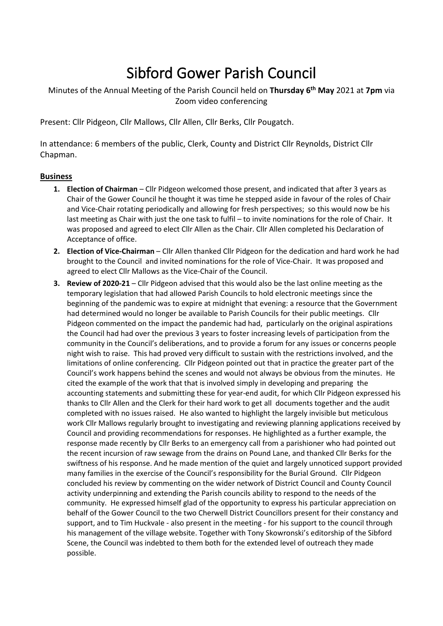# Sibford Gower Parish Council

Minutes of the Annual Meeting of the Parish Council held on **Thursday 6 th May** 2021 at **7pm** via Zoom video conferencing

Present: Cllr Pidgeon, Cllr Mallows, Cllr Allen, Cllr Berks, Cllr Pougatch.

In attendance: 6 members of the public, Clerk, County and District Cllr Reynolds, District Cllr Chapman.

## **Business**

- **1. Election of Chairman** Cllr Pidgeon welcomed those present, and indicated that after 3 years as Chair of the Gower Council he thought it was time he stepped aside in favour of the roles of Chair and Vice-Chair rotating periodically and allowing for fresh perspectives; so this would now be his last meeting as Chair with just the one task to fulfil – to invite nominations for the role of Chair. It was proposed and agreed to elect Cllr Allen as the Chair. Cllr Allen completed his Declaration of Acceptance of office.
- **2. Election of Vice-Chairman** Cllr Allen thanked Cllr Pidgeon for the dedication and hard work he had brought to the Council and invited nominations for the role of Vice-Chair. It was proposed and agreed to elect Cllr Mallows as the Vice-Chair of the Council.
- **3. Review of 2020-21** Cllr Pidgeon advised that this would also be the last online meeting as the temporary legislation that had allowed Parish Councils to hold electronic meetings since the beginning of the pandemic was to expire at midnight that evening: a resource that the Government had determined would no longer be available to Parish Councils for their public meetings. Cllr Pidgeon commented on the impact the pandemic had had, particularly on the original aspirations the Council had had over the previous 3 years to foster increasing levels of participation from the community in the Council's deliberations, and to provide a forum for any issues or concerns people night wish to raise. This had proved very difficult to sustain with the restrictions involved, and the limitations of online conferencing. Cllr Pidgeon pointed out that in practice the greater part of the Council's work happens behind the scenes and would not always be obvious from the minutes. He cited the example of the work that that is involved simply in developing and preparing the accounting statements and submitting these for year-end audit, for which Cllr Pidgeon expressed his thanks to Cllr Allen and the Clerk for their hard work to get all documents together and the audit completed with no issues raised. He also wanted to highlight the largely invisible but meticulous work Cllr Mallows regularly brought to investigating and reviewing planning applications received by Council and providing recommendations for responses. He highlighted as a further example, the response made recently by Cllr Berks to an emergency call from a parishioner who had pointed out the recent incursion of raw sewage from the drains on Pound Lane, and thanked Cllr Berks for the swiftness of his response. And he made mention of the quiet and largely unnoticed support provided many families in the exercise of the Council's responsibility for the Burial Ground. Cllr Pidgeon concluded his review by commenting on the wider network of District Council and County Council activity underpinning and extending the Parish councils ability to respond to the needs of the community. He expressed himself glad of the opportunity to express his particular appreciation on behalf of the Gower Council to the two Cherwell District Councillors present for their constancy and support, and to Tim Huckvale - also present in the meeting - for his support to the council through his management of the village website. Together with Tony Skowronski's editorship of the Sibford Scene, the Council was indebted to them both for the extended level of outreach they made possible.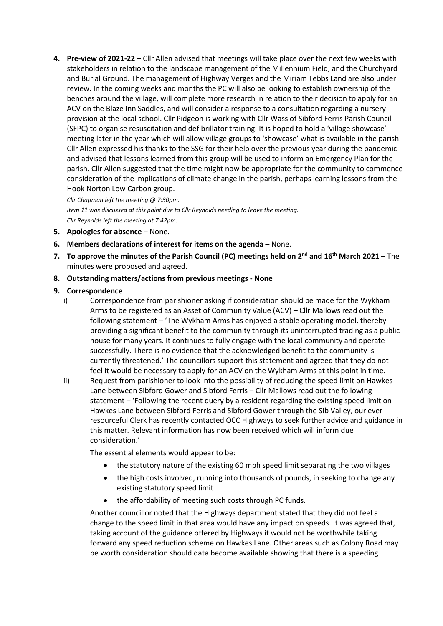**4. Pre-view of 2021-22** – Cllr Allen advised that meetings will take place over the next few weeks with stakeholders in relation to the landscape management of the Millennium Field, and the Churchyard and Burial Ground. The management of Highway Verges and the Miriam Tebbs Land are also under review. In the coming weeks and months the PC will also be looking to establish ownership of the benches around the village, will complete more research in relation to their decision to apply for an ACV on the Blaze Inn Saddles, and will consider a response to a consultation regarding a nursery provision at the local school. Cllr Pidgeon is working with Cllr Wass of Sibford Ferris Parish Council (SFPC) to organise resuscitation and defibrillator training. It is hoped to hold a 'village showcase' meeting later in the year which will allow village groups to 'showcase' what is available in the parish. Cllr Allen expressed his thanks to the SSG for their help over the previous year during the pandemic and advised that lessons learned from this group will be used to inform an Emergency Plan for the parish. Cllr Allen suggested that the time might now be appropriate for the community to commence consideration of the implications of climate change in the parish, perhaps learning lessons from the Hook Norton Low Carbon group.

*Cllr Chapman left the meeting @ 7:30pm. Item 11 was discussed at this point due to Cllr Reynolds needing to leave the meeting. Cllr Reynolds left the meeting at 7:42pm.*

- **5. Apologies for absence** None.
- **6. Members declarations of interest for items on the agenda** None.
- **7.** To approve the minutes of the Parish Council (PC) meetings held on 2<sup>nd</sup> and 16<sup>th</sup> March 2021 The minutes were proposed and agreed.
- **8. Outstanding matters/actions from previous meetings - None**

#### **9. Correspondence**

- i) Correspondence from parishioner asking if consideration should be made for the Wykham Arms to be registered as an Asset of Community Value (ACV) – Cllr Mallows read out the following statement – 'The Wykham Arms has enjoyed a stable operating model, thereby providing a significant benefit to the community through its uninterrupted trading as a public house for many years. It continues to fully engage with the local community and operate successfully. There is no evidence that the acknowledged benefit to the community is currently threatened.' The councillors support this statement and agreed that they do not feel it would be necessary to apply for an ACV on the Wykham Arms at this point in time.
- ii) Request from parishioner to look into the possibility of reducing the speed limit on Hawkes Lane between Sibford Gower and Sibford Ferris – Cllr Mallows read out the following statement – 'Following the recent query by a resident regarding the existing speed limit on Hawkes Lane between Sibford Ferris and Sibford Gower through the Sib Valley, our everresourceful Clerk has recently contacted OCC Highways to seek further advice and guidance in this matter. Relevant information has now been received which will inform due consideration.'

The essential elements would appear to be:

- the statutory nature of the existing 60 mph speed limit separating the two villages
- the high costs involved, running into thousands of pounds, in seeking to change any existing statutory speed limit
- the affordability of meeting such costs through PC funds.

Another councillor noted that the Highways department stated that they did not feel a change to the speed limit in that area would have any impact on speeds. It was agreed that, taking account of the guidance offered by Highways it would not be worthwhile taking forward any speed reduction scheme on Hawkes Lane. Other areas such as Colony Road may be worth consideration should data become available showing that there is a speeding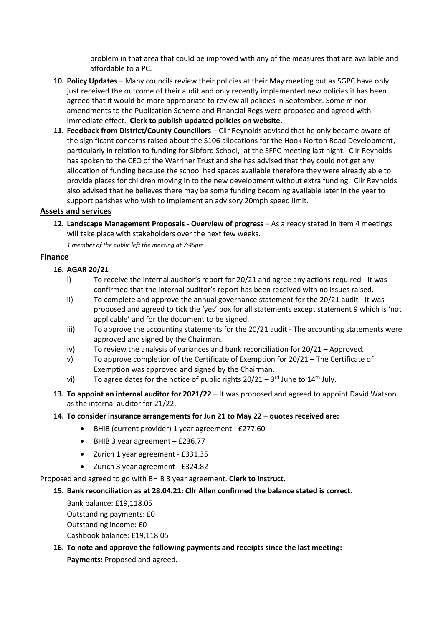problem in that area that could be improved with any of the measures that are available and affordable to a PC.

- **10. Policy Updates** Many councils review their policies at their May meeting but as SGPC have only just received the outcome of their audit and only recently implemented new policies it has been agreed that it would be more appropriate to review all policies in September. Some minor amendments to the Publication Scheme and Financial Regs were proposed and agreed with immediate effect. **Clerk to publish updated policies on website.**
- **11. Feedback from District/County Councillors** Cllr Reynolds advised that he only became aware of the significant concerns raised about the S106 allocations for the Hook Norton Road Development, particularly in relation to funding for Sibford School, at the SFPC meeting last night. Cllr Reynolds has spoken to the CEO of the Warriner Trust and she has advised that they could not get any allocation of funding because the school had spaces available therefore they were already able to provide places for children moving in to the new development without extra funding. Cllr Reynolds also advised that he believes there may be some funding becoming available later in the year to support parishes who wish to implement an advisory 20mph speed limit.

## **Assets and services**

**12. Landscape Management Proposals - Overview of progress** – As already stated in item 4 meetings will take place with stakeholders over the next few weeks.

*1 member of the public left the meeting at 7:45pm*

## **Finance**

## **16. AGAR 20/21**

- i) To receive the internal auditor's report for 20/21 and agree any actions required It was confirmed that the internal auditor's report has been received with no issues raised.
- ii) To complete and approve the annual governance statement for the 20/21 audit It was proposed and agreed to tick the 'yes' box for all statements except statement 9 which is 'not applicable' and for the document to be signed.
- iii) To approve the accounting statements for the 20/21 audit The accounting statements were approved and signed by the Chairman.
- iv) To review the analysis of variances and bank reconciliation for 20/21 Approved.
- v) To approve completion of the Certificate of Exemption for 20/21 The Certificate of Exemption was approved and signed by the Chairman.
- vi) To agree dates for the notice of public rights  $20/21 3<sup>rd</sup>$  June to  $14<sup>th</sup>$  July.
- **13. To appoint an internal auditor for 2021/22** It was proposed and agreed to appoint David Watson as the internal auditor for 21/22.
- **14. To consider insurance arrangements for Jun 21 to May 22 – quotes received are:**
	- BHIB (current provider) 1 year agreement £277.60
	- BHIB 3 year agreement £236.77
	- Zurich 1 year agreement £331.35
	- Zurich 3 year agreement £324.82

Proposed and agreed to go with BHIB 3 year agreement. **Clerk to instruct.**

## **15. Bank reconciliation as at 28.04.21: Cllr Allen confirmed the balance stated is correct.**

Bank balance: £19,118.05

Outstanding payments: £0

Outstanding income: £0

Cashbook balance: £19,118.05

**16. To note and approve the following payments and receipts since the last meeting: Payments:** Proposed and agreed.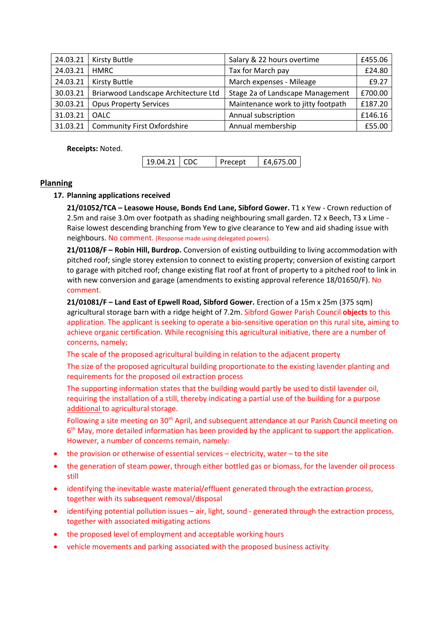| 24.03.21 | <b>Kirsty Buttle</b>                 | Salary & 22 hours overtime         | £455.06 |
|----------|--------------------------------------|------------------------------------|---------|
| 24.03.21 | <b>HMRC</b>                          | Tax for March pay                  | £24.80  |
| 24.03.21 | <b>Kirsty Buttle</b>                 | March expenses - Mileage           | £9.27   |
| 30.03.21 | Briarwood Landscape Architecture Ltd | Stage 2a of Landscape Management   | £700.00 |
| 30.03.21 | <b>Opus Property Services</b>        | Maintenance work to jitty footpath | £187.20 |
| 31.03.21 | <b>OALC</b>                          | Annual subscription                | £146.16 |
| 31.03.21 | <b>Community First Oxfordshire</b>   | Annual membership                  | £55.00  |

**Receipts:** Noted.

19.04.21 CDC | Precept | £4,675.00

## **Planning**

#### **17. Planning applications received**

**21/01052/TCA – Leasowe House, Bonds End Lane, Sibford Gower.** T1 x Yew - Crown reduction of 2.5m and raise 3.0m over footpath as shading neighbouring small garden. T2 x Beech, T3 x Lime - Raise lowest descending branching from Yew to give clearance to Yew and aid shading issue with neighbours. No comment. (Response made using delegated powers).

**21/01108/F – Robin Hill, Burdrop.** Conversion of existing outbuilding to living accommodation with pitched roof; single storey extension to connect to existing property; conversion of existing carport to garage with pitched roof; change existing flat roof at front of property to a pitched roof to link in with new conversion and garage (amendments to existing approval reference 18/01650/F). No comment.

**21/01081/F – Land East of Epwell Road, Sibford Gower.** Erection of a 15m x 25m (375 sqm) agricultural storage barn with a ridge height of 7.2m. Sibford Gower Parish Council **objects** to this application. The applicant is seeking to operate a bio-sensitive operation on this rural site, aiming to achieve organic certification. While recognising this agricultural initiative, there are a number of concerns, namely;

The scale of the proposed agricultural building in relation to the adjacent property

The size of the proposed agricultural building proportionate to the existing lavender planting and requirements for the proposed oil extraction process

The supporting information states that the building would partly be used to distil lavender oil, requiring the installation of a still, thereby indicating a partial use of the building for a purpose additional to agricultural storage.

Following a site meeting on 30<sup>th</sup> April, and subsequent attendance at our Parish Council meeting on 6<sup>th</sup> May, more detailed information has been provided by the applicant to support the application. However, a number of concerns remain, namely:

- the provision or otherwise of essential services electricity, water to the site
- the generation of steam power, through either bottled gas or biomass, for the lavender oil process still
- identifying the inevitable waste material/effluent generated through the extraction process, together with its subsequent removal/disposal
- identifying potential pollution issues air, light, sound generated through the extraction process, together with associated mitigating actions
- the proposed level of employment and acceptable working hours
- vehicle movements and parking associated with the proposed business activity